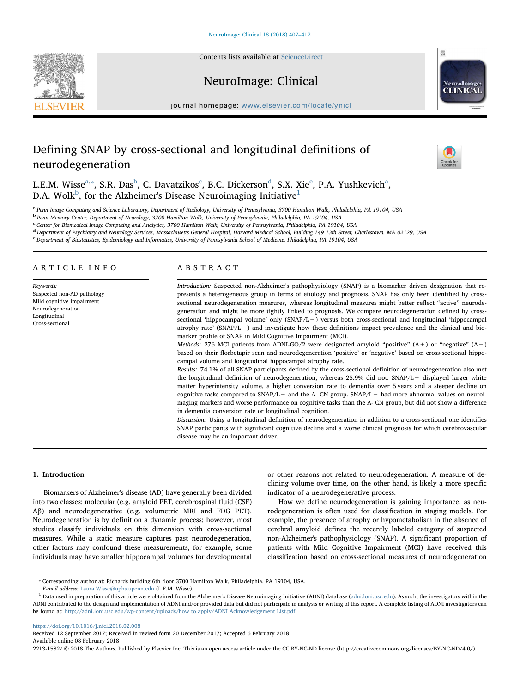Contents lists available at [ScienceDirect](http://www.sciencedirect.com/science/journal/22131582)







journal homepage: [www.elsevier.com/locate/ynicl](https://www.elsevier.com/locate/ynicl)

# Defining SNAP by cross-sectional and longitudinal definitions of neurodegeneration



L.E.M. Wiss[e](#page-0-5) $^{\mathrm{a},*}$  $^{\mathrm{a},*}$  $^{\mathrm{a},*}$ , S.R. Das $^{\mathrm{b}}$  $^{\mathrm{b}}$  $^{\mathrm{b}}$ , C. Davatzikos $^{\mathrm{c}}$  $^{\mathrm{c}}$  $^{\mathrm{c}}$ , B.C. Dickerson $^{\mathrm{d}}$  $^{\mathrm{d}}$  $^{\mathrm{d}}$ , S.X. Xie $^{\mathrm{e}}$ , P.A. Yushkevich $^{\mathrm{a}}$ , D.A. Wolk $^{\rm b}$  $^{\rm b}$  $^{\rm b}$ , for the Alzheimer's Disease Neuroimaging Initiative $^1$  $^1$ 

<span id="page-0-0"></span>a Penn Image Computing and Science Laboratory, Department of Radiology, University of Pennsylvania, 3700 Hamilton Walk, Philadelphia, PA 19104, USA

<span id="page-0-2"></span><sup>b</sup> Penn Memory Center, Department of Neurology, 3700 Hamilton Walk, University of Pennsylvania, Philadelphia, PA 19104, USA

<span id="page-0-3"></span>c Center for Biomedical Image Computing and Analytics, 3700 Hamilton Walk, University of Pennsylvania, Philadelphia, PA 19104, USA

<span id="page-0-4"></span><sup>d</sup> Department of Psychiatry and Neurology Services, Massachusetts General Hospital, Harvard Medical School, Building 149 13th Street, Charlestown, MA 02129, USA

<span id="page-0-5"></span>e Department of Biostatistics, Epidemiology and Informatics, University of Pennsylvania School of Medicine, Philadelphia, PA 19104, USA

# ARTICLE INFO

Keywords: Suspected non-AD pathology Mild cognitive impairment Neurodegeneration Longitudinal Cross-sectional

# ABSTRACT

Introduction: Suspected non-Alzheimer's pathophysiology (SNAP) is a biomarker driven designation that represents a heterogeneous group in terms of etiology and prognosis. SNAP has only been identified by crosssectional neurodegeneration measures, whereas longitudinal measures might better reflect "active" neurodegeneration and might be more tightly linked to prognosis. We compare neurodegeneration defined by crosssectional 'hippocampal volume' only (SNAP/L−) versus both cross-sectional and longitudinal 'hippocampal atrophy rate' (SNAP/L+) and investigate how these definitions impact prevalence and the clinical and biomarker profile of SNAP in Mild Cognitive Impairment (MCI).

Methods: 276 MCI patients from ADNI-GO/2 were designated amyloid "positive" (A+) or "negative" (A−) based on their florbetapir scan and neurodegeneration 'positive' or 'negative' based on cross-sectional hippocampal volume and longitudinal hippocampal atrophy rate.

Results: 74.1% of all SNAP participants defined by the cross-sectional definition of neurodegeneration also met the longitudinal definition of neurodegeneration, whereas 25.9% did not. SNAP/L+ displayed larger white matter hyperintensity volume, a higher conversion rate to dementia over 5 years and a steeper decline on cognitive tasks compared to SNAP/L− and the A- CN group. SNAP/L− had more abnormal values on neuroimaging markers and worse performance on cognitive tasks than the A- CN group, but did not show a difference in dementia conversion rate or longitudinal cognition.

Discussion: Using a longitudinal definition of neurodegeneration in addition to a cross-sectional one identifies SNAP participants with significant cognitive decline and a worse clinical prognosis for which cerebrovascular disease may be an important driver.

### 1. Introduction

Biomarkers of Alzheimer's disease (AD) have generally been divided into two classes: molecular (e.g. amyloid PET, cerebrospinal fluid (CSF) Aβ) and neurodegenerative (e.g. volumetric MRI and FDG PET). Neurodegeneration is by definition a dynamic process; however, most studies classify individuals on this dimension with cross-sectional measures. While a static measure captures past neurodegeneration, other factors may confound these measurements, for example, some individuals may have smaller hippocampal volumes for developmental or other reasons not related to neurodegeneration. A measure of declining volume over time, on the other hand, is likely a more specific indicator of a neurodegenerative process.

How we define neurodegeneration is gaining importance, as neurodegeneration is often used for classification in staging models. For example, the presence of atrophy or hypometabolism in the absence of cerebral amyloid defines the recently labeled category of suspected non-Alzheimer's pathophysiology (SNAP). A significant proportion of patients with Mild Cognitive Impairment (MCI) have received this classification based on cross-sectional measures of neurodegeneration

<https://doi.org/10.1016/j.nicl.2018.02.008>

<span id="page-0-1"></span><sup>⁎</sup> Corresponding author at: Richards building 6th floor 3700 Hamilton Walk, Philadelphia, PA 19104, USA.

E-mail address: [Laura.Wisse@uphs.upenn.edu](mailto:Laura.Wisse@uphs.upenn.edu) (L.E.M. Wisse).

<span id="page-0-6"></span><sup>&</sup>lt;sup>1</sup> Data used in preparation of this article were obtained from the Alzheimer's Disease Neuroimaging Initiative (ADNI) database [\(adni.loni.usc.edu](http://adni.loni.usc.edu)). As such, the investigators within the ADNI contributed to the design and implementation of ADNI and/or provided data but did not participate in analysis or writing of this report. A complete listing of ADNI investigators can be found at: [http://adni.loni.usc.edu/wp-content/uploads/how\\_to\\_apply/ADNI\\_Acknowledgement\\_List.pdf](http://adni.loni.usc.edu/wp-content/uploads/how_to_apply/ADNI_Acknowledgement_List.pdf)

Received 12 September 2017; Received in revised form 20 December 2017; Accepted 6 February 2018 Available online 08 February 2018

<sup>2213-1582/ © 2018</sup> The Authors. Published by Elsevier Inc. This is an open access article under the CC BY-NC-ND license (http://creativecommons.org/licenses/BY-NC-ND/4.0/).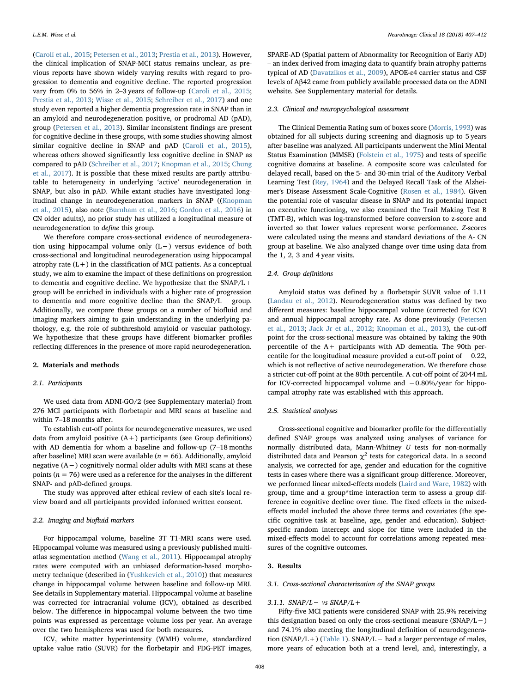([Caroli et al., 2015](#page-5-0); [Petersen et al., 2013](#page-5-1); [Prestia et al., 2013\)](#page-5-2). However, the clinical implication of SNAP-MCI status remains unclear, as previous reports have shown widely varying results with regard to progression to dementia and cognitive decline. The reported progression vary from 0% to 56% in 2–3 years of follow-up [\(Caroli et al., 2015](#page-5-0); [Prestia et al., 2013;](#page-5-2) [Wisse et al., 2015](#page-5-3); [Schreiber et al., 2017\)](#page-5-4) and one study even reported a higher dementia progression rate in SNAP than in an amyloid and neurodegeneration positive, or prodromal AD (pAD), group ([Petersen et al., 2013](#page-5-1)). Similar inconsistent findings are present for cognitive decline in these groups, with some studies showing almost similar cognitive decline in SNAP and pAD [\(Caroli et al., 2015](#page-5-0)), whereas others showed significantly less cognitive decline in SNAP as compared to pAD ([Schreiber et al., 2017;](#page-5-4) [Knopman et al., 2015](#page-5-5); [Chung](#page-5-6) [et al., 2017](#page-5-6)). It is possible that these mixed results are partly attributable to heterogeneity in underlying 'active' neurodegeneration in SNAP, but also in pAD. While extant studies have investigated longitudinal change in neurodegeneration markers in SNAP (([Knopman](#page-5-5) [et al., 2015\)](#page-5-5), also note ([Burnham et al., 2016;](#page-5-7) [Gordon et al., 2016\)](#page-5-8) in CN older adults), no prior study has utilized a longitudinal measure of neurodegeneration to define this group.

We therefore compare cross-sectional evidence of neurodegeneration using hippocampal volume only (L−) versus evidence of both cross-sectional and longitudinal neurodegeneration using hippocampal atrophy rate  $(L+)$  in the classification of MCI patients. As a conceptual study, we aim to examine the impact of these definitions on progression to dementia and cognitive decline. We hypothesize that the SNAP/L+ group will be enriched in individuals with a higher rate of progression to dementia and more cognitive decline than the SNAP/L− group. Additionally, we compare these groups on a number of biofluid and imaging markers aiming to gain understanding in the underlying pathology, e.g. the role of subthreshold amyloid or vascular pathology. We hypothesize that these groups have different biomarker profiles reflecting differences in the presence of more rapid neurodegeneration.

## 2. Materials and methods

## 2.1. Participants

We used data from ADNI-GO/2 (see Supplementary material) from 276 MCI participants with florbetapir and MRI scans at baseline and within 7–18 months after.

To establish cut-off points for neurodegenerative measures, we used data from amyloid positive  $(A+)$  participants (see Group definitions) with AD dementia for whom a baseline and follow-up (7–18 months after baseline) MRI scan were available ( $n = 66$ ). Additionally, amyloid negative (A−) cognitively normal older adults with MRI scans at these points ( $n = 76$ ) were used as a reference for the analyses in the different SNAP- and pAD-defined groups.

The study was approved after ethical review of each site's local review board and all participants provided informed written consent.

## 2.2. Imaging and biofluid markers

For hippocampal volume, baseline 3T T1-MRI scans were used. Hippocampal volume was measured using a previously published multiatlas segmentation method [\(Wang et al., 2011](#page-5-9)). Hippocampal atrophy rates were computed with an unbiased deformation-based morphometry technique (described in ([Yushkevich et al., 2010](#page-5-10))) that measures change in hippocampal volume between baseline and follow-up MRI. See details in Supplementary material. Hippocampal volume at baseline was corrected for intracranial volume (ICV), obtained as described below. The difference in hippocampal volume between the two time points was expressed as percentage volume loss per year. An average over the two hemispheres was used for both measures.

ICV, white matter hyperintensity (WMH) volume, standardized uptake value ratio (SUVR) for the florbetapir and FDG-PET images,

SPARE-AD (Spatial pattern of Abnormality for Recognition of Early AD) – an index derived from imaging data to quantify brain atrophy patterns typical of AD [\(Davatzikos et al., 2009](#page-5-11)), APOE-ɛ4 carrier status and CSF levels of Aβ42 came from publicly available processed data on the ADNI website. See Supplementary material for details.

#### 2.3. Clinical and neuropsychological assessment

The Clinical Dementia Rating sum of boxes score [\(Morris, 1993](#page-5-12)) was obtained for all subjects during screening and diagnosis up to 5 years after baseline was analyzed. All participants underwent the Mini Mental Status Examination (MMSE) ([Folstein et al., 1975\)](#page-5-13) and tests of specific cognitive domains at baseline. A composite score was calculated for delayed recall, based on the 5- and 30-min trial of the Auditory Verbal Learning Test [\(Rey, 1964](#page-5-14)) and the Delayed Recall Task of the Alzheimer's Disease Assessment Scale-Cognitive ([Rosen et al., 1984](#page-5-15)). Given the potential role of vascular disease in SNAP and its potential impact on executive functioning, we also examined the Trail Making Test B (TMT-B), which was log-transformed before conversion to z-score and inverted so that lower values represent worse performance. Z-scores were calculated using the means and standard deviations of the A- CN group at baseline. We also analyzed change over time using data from the 1, 2, 3 and 4 year visits.

# 2.4. Group definitions

Amyloid status was defined by a florbetapir SUVR value of 1.11 ([Landau et al., 2012](#page-5-16)). Neurodegeneration status was defined by two different measures: baseline hippocampal volume (corrected for ICV) and annual hippocampal atrophy rate. As done previously ([Petersen](#page-5-1) [et al., 2013;](#page-5-1) [Jack Jr et al., 2012](#page-5-17); [Knopman et al., 2013](#page-5-18)), the cut-off point for the cross-sectional measure was obtained by taking the 90th percentile of the A+ participants with AD dementia. The 90th percentile for the longitudinal measure provided a cut-off point of −0.22, which is not reflective of active neurodegeneration. We therefore chose a stricter cut-off point at the 80th percentile. A cut-off point of 2044 mL for ICV-corrected hippocampal volume and −0.80%/year for hippocampal atrophy rate was established with this approach.

## 2.5. Statistical analyses

Cross-sectional cognitive and biomarker profile for the differentially defined SNAP groups was analyzed using analyses of variance for normally distributed data, Mann-Whitney U tests for non-normally distributed data and Pearson  $\chi^2$  tests for categorical data. In a second analysis, we corrected for age, gender and education for the cognitive tests in cases where there was a significant group difference. Moreover, we performed linear mixed-effects models ([Laird and Ware, 1982](#page-5-19)) with group, time and a group\*time interaction term to assess a group difference in cognitive decline over time. The fixed effects in the mixedeffects model included the above three terms and covariates (the specific cognitive task at baseline, age, gender and education). Subjectspecific random intercept and slope for time were included in the mixed-effects model to account for correlations among repeated measures of the cognitive outcomes.

#### <span id="page-1-0"></span>3. Results

## 3.1. Cross-sectional characterization of the SNAP groups

#### 3.1.1.  $SNAP/L - vs SNAP/L +$

Fifty-five MCI patients were considered SNAP with 25.9% receiving this designation based on only the cross-sectional measure (SNAP/L−) and 74.1% also meeting the longitudinal definition of neurodegeneration (SNAP/L+) ([Table 1\)](#page-2-0). SNAP/L− had a larger percentage of males, more years of education both at a trend level, and, interestingly, a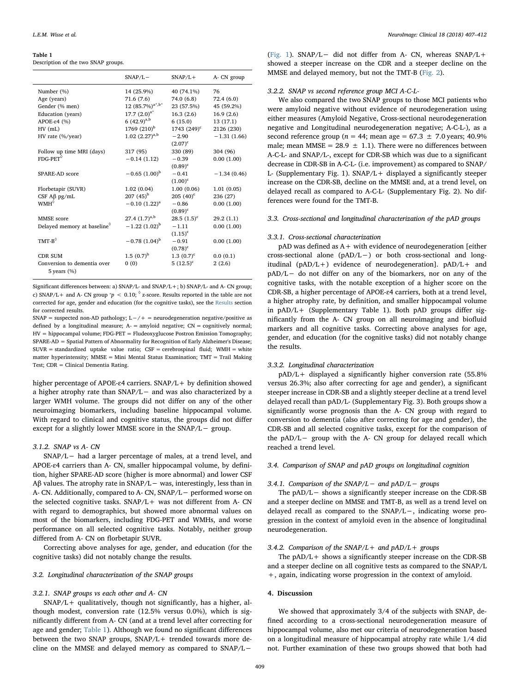#### <span id="page-2-0"></span>Table 1

Description of the two SNAP groups.

|                                         | $SNAP/L -$              | $SNAP/L +$     | A- CN group   |
|-----------------------------------------|-------------------------|----------------|---------------|
| Number (%)                              | 14 (25.9%)              | 40 (74.1%)     | 76            |
| Age (years)                             | 71.6(7.6)               | 74.0 (6.8)     | 72.4(6.0)     |
| Gender (% men)                          | 12 $(85.7\%)^{a^*,b^*}$ | 23 (57.5%)     | 45 (59.2%)    |
| Education (years)                       | 17.7 $(2.0)^{a^*}$      | 16.3(2.6)      | 16.9(2.6)     |
| $APOE-ε4$ (%)                           | 6 $(42.9)^{a,b}$        | 6(15.0)        | 13(17.1)      |
| $HV$ (mL)                               | 1769 $(210)^{b}$        | $1743 (249)^c$ | 2126 (230)    |
| HV rate (%/year)                        | $1.02$ $(2.27)^{a,b}$   | $-2.90$        | $-1.31(1.66)$ |
|                                         |                         | $(2.07)^c$     |               |
| Follow up time MRI (days)               | 317 (95)                | 330 (89)       | 304 (96)      |
| $F\text{DG-PET}^{\lozenge}$             | $-0.14(1.12)$           | $-0.39$        | 0.00(1.00)    |
|                                         |                         | $(0.89)^c$     |               |
| SPARE-AD score                          | $-0.65(1.00)^{b}$       | $-0.41$        | $-1.34(0.46)$ |
|                                         |                         | $(1.00)^c$     |               |
| Florbetapir (SUVR)                      | 1.02(0.04)              | 1.00(0.06)     | 1.01(0.05)    |
| CSF $A\beta$ pg/mL                      | $207(45)^{b}$           | $205(40)^c$    | 236 (27)      |
| $WMH^{\circ}$                           | $-0.10$ $(1.22)^{a}$    | $-0.86$        | 0.00(1.00)    |
|                                         |                         | $(0.89)^c$     |               |
| MMSE score                              | 27.4 $(1.7)^{a,b}$      | $28.5(1.5)^c$  | 29.2(1.1)     |
| Delayed memory at baseline <sup>0</sup> | $-1.22$ $(1.02)^{b}$    | $-1.11$        | 0.00(1.00)    |
|                                         |                         | $(1.15)^c$     |               |
| $TMT-B^{\lozenge}$                      | $-0.78$ $(1.04)^{b}$    | $-0.91$        | 0.00(1.00)    |
|                                         |                         | $(0.78)^c$     |               |
| <b>CDR SUM</b>                          | $1.5(0.7)^{b}$          | 1.3 $(0.7)^c$  | 0.0(0.1)      |
| Conversion to dementia over             | 0(0)                    | $5(12.5)^c$    | 2(2.6)        |
| 5 years $(\% )$                         |                         |                |               |

Significant differences between: a) SNAP/L- and SNAP/L+; b) SNAP/L- and A- CN group; c) SNAP/L + and A- CN group  $p < 0.10$ ;  $\delta$  z-score. Results reported in the table are not corrected for age, gender and education (for the cognitive tasks), see the [Results](#page-1-0) section for corrected results.

SNAP = suspected non-AD pathology; L−/+ = neurodegeneration negative/positive as defined by a longitudinal measure; A- = amyloid negative; CN = cognitively normal; HV = hippocampal volume; FDG-PET = Fludeoxyglucose Postron Emission Tomography; SPARE-AD = Spatial Pattern of Abnormality for Recognition of Early Alzheimer's Disease;  $SUVR = standardized$  uptake value ratio:  $CSF = cerebrospinal$  fluid;  $WMH = white$ matter hyperintensity; MMSE = Mini Mental Status Examination; TMT = Trail Making Test; CDR = Clinical Dementia Rating.

higher percentage of APOE-ɛ4 carriers. SNAP/L+ by definition showed a higher atrophy rate than SNAP/L− and was also characterized by a larger WMH volume. The groups did not differ on any of the other neuroimaging biomarkers, including baseline hippocampal volume. With regard to clinical and cognitive status, the groups did not differ except for a slightly lower MMSE score in the SNAP/L− group.

### 3.1.2. SNAP vs A- CN

SNAP/L− had a larger percentage of males, at a trend level, and APOE-ɛ4 carriers than A- CN, smaller hippocampal volume, by definition, higher SPARE-AD score (higher is more abnormal) and lower CSF Aβ values. The atrophy rate in SNAP/L− was, interestingly, less than in A- CN. Additionally, compared to A- CN, SNAP/L− performed worse on the selected cognitive tasks. SNAP/L+ was not different from A- CN with regard to demographics, but showed more abnormal values on most of the biomarkers, including FDG-PET and WMHs, and worse performance on all selected cognitive tasks. Notably, neither group differed from A- CN on florbetapir SUVR.

Correcting above analyses for age, gender, and education (for the cognitive tasks) did not notably change the results.

## 3.2. Longitudinal characterization of the SNAP groups

# 3.2.1. SNAP groups vs each other and A- CN

 $SNAP/L+$  qualitatively, though not significantly, has a higher, although modest, conversion rate (12.5% versus 0.0%), which is significantly different from A- CN (and at a trend level after correcting for age and gender; [Table 1](#page-2-0)). Although we found no significant differences between the two SNAP groups, SNAP/L+ trended towards more decline on the MMSE and delayed memory as compared to SNAP/L−

([Fig. 1\)](#page-3-0). SNAP/L− did not differ from A- CN, whereas SNAP/L+ showed a steeper increase on the CDR and a steeper decline on the MMSE and delayed memory, but not the TMT-B ([Fig. 2](#page-3-1)).

# 3.2.2. SNAP vs second reference group MCI A-C-L-

We also compared the two SNAP groups to those MCI patients who were amyloid negative without evidence of neurodegeneration using either measures (Amyloid Negative, Cross-sectional neurodegeneration negative and Longitudinal neurodegeneration negative; A-C-L-), as a second reference group ( $n = 44$ ; mean age = 67.3  $\pm$  7.0 years; 40.9% male; mean MMSE =  $28.9 \pm 1.1$ ). There were no differences between A-C-L- and SNAP/L-, except for CDR-SB which was due to a significant decrease in CDR-SB in A-C-L- (i.e. improvement) as compared to SNAP/ L- (Supplementary Fig. 1). SNAP/L+ displayed a significantly steeper increase on the CDR-SB, decline on the MMSE and, at a trend level, on delayed recall as compared to A-C-L- (Supplementary Fig. 2). No differences were found for the TMT-B.

# 3.3. Cross-sectional and longitudinal characterization of the pAD groups

# 3.3.1. Cross-sectional characterization

pAD was defined as A+ with evidence of neurodegeneration [either cross-sectional alone (pAD/L−) or both cross-sectional and longitudinal (pAD/L+) evidence of neurodegeneration]. pAD/L+ and pAD/L− do not differ on any of the biomarkers, nor on any of the cognitive tasks, with the notable exception of a higher score on the CDR-SB, a higher percentage of APOE-ɛ4 carriers, both at a trend level, a higher atrophy rate, by definition, and smaller hippocampal volume in pAD/L+ (Supplementary Table 1). Both pAD groups differ significantly from the A- CN group on all neuroimaging and biofluid markers and all cognitive tasks. Correcting above analyses for age, gender, and education (for the cognitive tasks) did not notably change the results.

## 3.3.2. Longitudinal characterization

pAD/L+ displayed a significantly higher conversion rate (55.8% versus 26.3%; also after correcting for age and gender), a significant steeper increase in CDR-SB and a slightly steeper decline at a trend level delayed recall than pAD/L- (Supplementary Fig. 3). Both groups show a significantly worse prognosis than the A- CN group with regard to conversion to dementia (also after correcting for age and gender), the CDR-SB and all selected cognitive tasks, except for the comparison of the pAD/L− group with the A- CN group for delayed recall which reached a trend level.

# 3.4. Comparison of SNAP and pAD groups on longitudinal cognition

### 3.4.1. Comparison of the SNAP/L− and pAD/L− groups

The pAD/L− shows a significantly steeper increase on the CDR-SB and a steeper decline on MMSE and TMT-B, as well as a trend level on delayed recall as compared to the SNAP/L−, indicating worse progression in the context of amyloid even in the absence of longitudinal neurodegeneration.

# 3.4.2. Comparison of the SNAP/L + and  $pAD/L +$  groups

The  $pAD/L+$  shows a significantly steeper increase on the CDR-SB and a steeper decline on all cognitive tests as compared to the SNAP/L +, again, indicating worse progression in the context of amyloid.

## 4. Discussion

We showed that approximately 3/4 of the subjects with SNAP, defined according to a cross-sectional neurodegeneration measure of hippocampal volume, also met our criteria of neurodegeneration based on a longitudinal measure of hippocampal atrophy rate while 1/4 did not. Further examination of these two groups showed that both had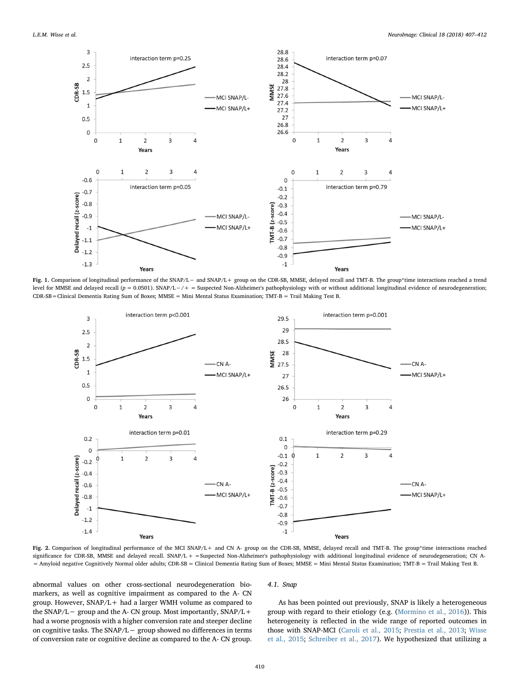<span id="page-3-0"></span>

Fig. 1. Comparison of longitudinal performance of the SNAP/L− and SNAP/L+ group on the CDR-SB, MMSE, delayed recall and TMT-B. The group\*time interactions reached a trend level for MMSE and delayed recall (p = 0.0501). SNAP/L-/+ = Suspected Non-Alzheimer's pathophysiology with or without additional longitudinal evidence of neurodegeneration; CDR-SB=Clinical Dementia Rating Sum of Boxes; MMSE = Mini Mental Status Examination; TMT-B = Trail Making Test B.

<span id="page-3-1"></span>

Fig. 2. Comparison of longitudinal performance of the MCI SNAP/L+ and CN A- group on the CDR-SB, MMSE, delayed recall and TMT-B. The group\*time interactions reached significance for CDR-SB, MMSE and delayed recall. SNAP/L + = Suspected Non-Alzheimer's pathophysiology with additional longitudinal evidence of neurodegeneration; CN A-= Amyloid negative Cognitively Normal older adults; CDR-SB = Clinical Dementia Rating Sum of Boxes; MMSE = Mini Mental Status Examination; TMT-B = Trail Making Test B.

abnormal values on other cross-sectional neurodegeneration biomarkers, as well as cognitive impairment as compared to the A- CN group. However, SNAP/L+ had a larger WMH volume as compared to the SNAP/L− group and the A- CN group. Most importantly, SNAP/L+ had a worse prognosis with a higher conversion rate and steeper decline on cognitive tasks. The SNAP/L− group showed no differences in terms of conversion rate or cognitive decline as compared to the A- CN group.

# 4.1. Snap

As has been pointed out previously, SNAP is likely a heterogeneous group with regard to their etiology (e.g. ([Mormino et al., 2016\)](#page-5-20)). This heterogeneity is reflected in the wide range of reported outcomes in those with SNAP-MCI ([Caroli et al., 2015](#page-5-0); [Prestia et al., 2013](#page-5-2); [Wisse](#page-5-3) [et al., 2015](#page-5-3); [Schreiber et al., 2017\)](#page-5-4). We hypothesized that utilizing a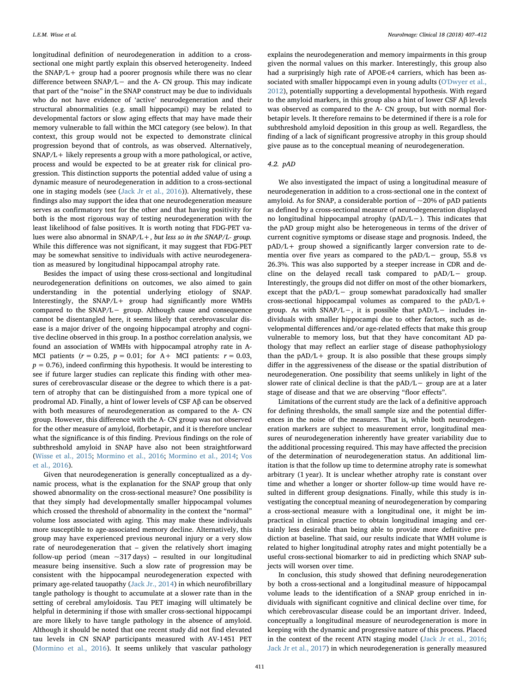longitudinal definition of neurodegeneration in addition to a crosssectional one might partly explain this observed heterogeneity. Indeed the SNAP/L+ group had a poorer prognosis while there was no clear difference between SNAP/L− and the A- CN group. This may indicate that part of the "noise" in the SNAP construct may be due to individuals who do not have evidence of 'active' neurodegeneration and their structural abnormalities (e.g. small hippocampi) may be related to developmental factors or slow aging effects that may have made their memory vulnerable to fall within the MCI category (see below). In that context, this group would not be expected to demonstrate clinical progression beyond that of controls, as was observed. Alternatively,  $SNAP/L+$  likely represents a group with a more pathological, or active, process and would be expected to be at greater risk for clinical progression. This distinction supports the potential added value of using a dynamic measure of neurodegeneration in addition to a cross-sectional one in staging models (see ([Jack Jr et al., 2016](#page-5-21))). Alternatively, these findings also may support the idea that one neurodegeneration measure serves as confirmatory test for the other and that having positivity for both is the most rigorous way of testing neurodegeneration with the least likelihood of false positives. It is worth noting that FDG-PET values were also abnormal in  $SNAP/L +$ , but less so in the  $SNAP/L$ - group. While this difference was not significant, it may suggest that FDG-PET may be somewhat sensitive to individuals with active neurodegeneration as measured by longitudinal hippocampal atrophy rate.

Besides the impact of using these cross-sectional and longitudinal neurodegeneration definitions on outcomes, we also aimed to gain understanding in the potential underlying etiology of SNAP. Interestingly, the SNAP/L+ group had significantly more WMHs compared to the SNAP/L− group. Although cause and consequence cannot be disentangled here, it seems likely that cerebrovascular disease is a major driver of the ongoing hippocampal atrophy and cognitive decline observed in this group. In a posthoc correlation analysis, we found an association of WMHs with hippocampal atrophy rate in A-MCI patients ( $r = 0.25$ ,  $p = 0.01$ ; for A+ MCI patients:  $r = 0.03$ ,  $p = 0.76$ ), indeed confirming this hypothesis. It would be interesting to see if future larger studies can replicate this finding with other measures of cerebrovascular disease or the degree to which there is a pattern of atrophy that can be distinguished from a more typical one of prodromal AD. Finally, a hint of lower levels of CSF Aβ can be observed with both measures of neurodegeneration as compared to the A- CN group. However, this difference with the A- CN group was not observed for the other measure of amyloid, florbetapir, and it is therefore unclear what the significance is of this finding. Previous findings on the role of subthreshold amyloid in SNAP have also not been straightforward ([Wisse et al., 2015](#page-5-3); [Mormino et al., 2016;](#page-5-20) Mormino [et al., 2014;](#page-5-22) [Vos](#page-5-23) [et al., 2016](#page-5-23)).

Given that neurodegeneration is generally conceptualized as a dynamic process, what is the explanation for the SNAP group that only showed abnormality on the cross-sectional measure? One possibility is that they simply had developmentally smaller hippocampal volumes which crossed the threshold of abnormality in the context the "normal" volume loss associated with aging. This may make these individuals more susceptible to age-associated memory decline. Alternatively, this group may have experienced previous neuronal injury or a very slow rate of neurodegeneration that – given the relatively short imaging follow-up period (mean  $\sim$ 317 days) – resulted in our longitudinal measure being insensitive. Such a slow rate of progression may be consistent with the hippocampal neurodegeneration expected with primary age-related tauopathy ([Jack Jr., 2014](#page-5-24)) in which neurofibrillary tangle pathology is thought to accumulate at a slower rate than in the setting of cerebral amyloidosis. Tau PET imaging will ultimately be helpful in determining if those with smaller cross-sectional hippocampi are more likely to have tangle pathology in the absence of amyloid. Although it should be noted that one recent study did not find elevated tau levels in CN SNAP participants measured with AV-1451 PET ([Mormino et al., 2016](#page-5-20)). It seems unlikely that vascular pathology

explains the neurodegeneration and memory impairments in this group given the normal values on this marker. Interestingly, this group also had a surprisingly high rate of APOE-ɛ4 carriers, which has been associated with smaller hippocampi even in young adults ([O'Dwyer et al.,](#page-5-25) [2012\)](#page-5-25), potentially supporting a developmental hypothesis. With regard to the amyloid markers, in this group also a hint of lower CSF Aβ levels was observed as compared to the A- CN group, but with normal florbetapir levels. It therefore remains to be determined if there is a role for subthreshold amyloid deposition in this group as well. Regardless, the finding of a lack of significant progressive atrophy in this group should give pause as to the conceptual meaning of neurodegeneration.

# 4.2. pAD

We also investigated the impact of using a longitudinal measure of neurodegeneration in addition to a cross-sectional one in the context of amyloid. As for SNAP, a considerable portion of  $\sim$ 20% of pAD patients as defined by a cross-sectional measure of neurodegeneration displayed no longitudinal hippocampal atrophy (pAD/L−). This indicates that the pAD group might also be heterogeneous in terms of the driver of current cognitive symptoms or disease stage and prognosis. Indeed, the pAD/L+ group showed a significantly larger conversion rate to dementia over five years as compared to the pAD/L− group, 55.8 vs 26.3%. This was also supported by a steeper increase in CDR and decline on the delayed recall task compared to pAD/L− group. Interestingly, the groups did not differ on most of the other biomarkers, except that the pAD/L− group somewhat paradoxically had smaller cross-sectional hippocampal volumes as compared to the pAD/L+ group. As with SNAP/L−, it is possible that pAD/L− includes individuals with smaller hippocampi due to other factors, such as developmental differences and/or age-related effects that make this group vulnerable to memory loss, but that they have concomitant AD pathology that may reflect an earlier stage of disease pathophysiology than the  $pAD/L+$  group. It is also possible that these groups simply differ in the aggressiveness of the disease or the spatial distribution of neurodegeneration. One possibility that seems unlikely in light of the slower rate of clinical decline is that the pAD/L− group are at a later stage of disease and that we are observing "floor effects".

Limitations of the current study are the lack of a definitive approach for defining thresholds, the small sample size and the potential differences in the noise of the measures. That is, while both neurodegeneration markers are subject to measurement error, longitudinal measures of neurodegeneration inherently have greater variability due to the additional processing required. This may have affected the precision of the determination of neurodegeneration status. An additional limitation is that the follow up time to determine atrophy rate is somewhat arbitrary (1 year). It is unclear whether atrophy rate is constant over time and whether a longer or shorter follow-up time would have resulted in different group designations. Finally, while this study is investigating the conceptual meaning of neurodegeneration by comparing a cross-sectional measure with a longitudinal one, it might be impractical in clinical practice to obtain longitudinal imaging and certainly less desirable than being able to provide more definitive prediction at baseline. That said, our results indicate that WMH volume is related to higher longitudinal atrophy rates and might potentially be a useful cross-sectional biomarker to aid in predicting which SNAP subjects will worsen over time.

In conclusion, this study showed that defining neurodegeneration by both a cross-sectional and a longitudinal measure of hippocampal volume leads to the identification of a SNAP group enriched in individuals with significant cognitive and clinical decline over time, for which cerebrovascular disease could be an important driver. Indeed, conceptually a longitudinal measure of neurodegeneration is more in keeping with the dynamic and progressive nature of this process. Placed in the context of the recent ATN staging model ([Jack Jr et al., 2016](#page-5-21); [Jack Jr et al., 2017\)](#page-5-26) in which neurodegeneration is generally measured